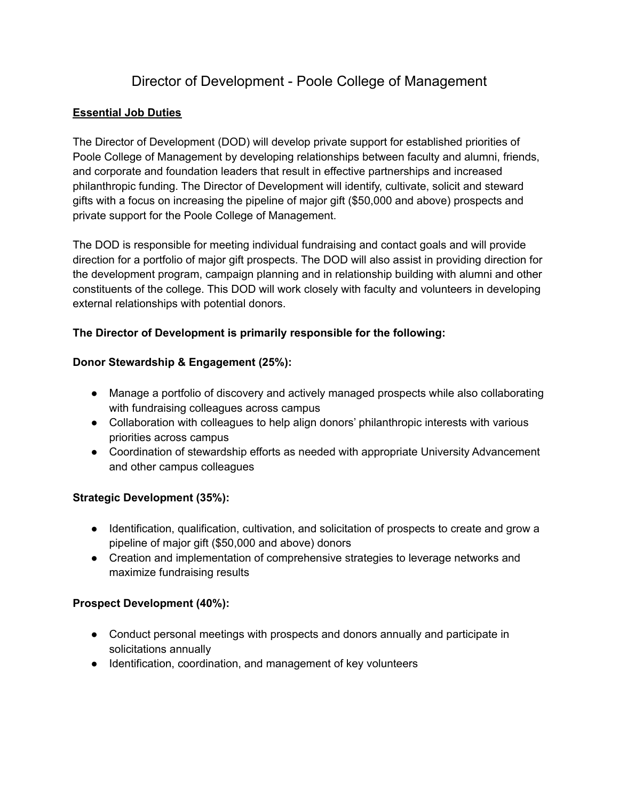# Director of Development - Poole College of Management

### **Essential Job Duties**

The Director of Development (DOD) will develop private support for established priorities of Poole College of Management by developing relationships between faculty and alumni, friends, and corporate and foundation leaders that result in effective partnerships and increased philanthropic funding. The Director of Development will identify, cultivate, solicit and steward gifts with a focus on increasing the pipeline of major gift (\$50,000 and above) prospects and private support for the Poole College of Management.

The DOD is responsible for meeting individual fundraising and contact goals and will provide direction for a portfolio of major gift prospects. The DOD will also assist in providing direction for the development program, campaign planning and in relationship building with alumni and other constituents of the college. This DOD will work closely with faculty and volunteers in developing external relationships with potential donors.

### **The Director of Development is primarily responsible for the following:**

#### **Donor Stewardship & Engagement (25%):**

- Manage a portfolio of discovery and actively managed prospects while also collaborating with fundraising colleagues across campus
- Collaboration with colleagues to help align donors' philanthropic interests with various priorities across campus
- Coordination of stewardship efforts as needed with appropriate University Advancement and other campus colleagues

### **Strategic Development (35%):**

- Identification, qualification, cultivation, and solicitation of prospects to create and grow a pipeline of major gift (\$50,000 and above) donors
- Creation and implementation of comprehensive strategies to leverage networks and maximize fundraising results

#### **Prospect Development (40%):**

- Conduct personal meetings with prospects and donors annually and participate in solicitations annually
- Identification, coordination, and management of key volunteers